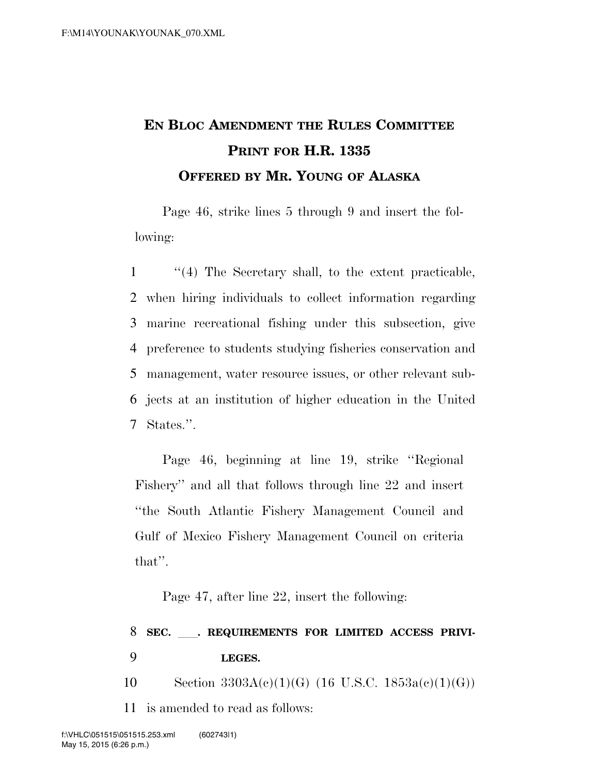## **EN BLOC AMENDMENT THE RULES COMMITTEE PRINT FOR H.R. 1335 OFFERED BY MR. YOUNG OF ALASKA**

Page 46, strike lines 5 through 9 and insert the following:

 ''(4) The Secretary shall, to the extent practicable, when hiring individuals to collect information regarding marine recreational fishing under this subsection, give preference to students studying fisheries conservation and management, water resource issues, or other relevant sub- jects at an institution of higher education in the United States.''.

Page 46, beginning at line 19, strike ''Regional Fishery'' and all that follows through line 22 and insert ''the South Atlantic Fishery Management Council and Gulf of Mexico Fishery Management Council on criteria that''.

Page 47, after line 22, insert the following:

## 8 SEC. . REQUIREMENTS FOR LIMITED ACCESS PRIVI-9 **LEGES.**

10 Section  $3303A(c)(1)(G)$  (16 U.S.C.  $1853a(c)(1)(G)$ )

11 is amended to read as follows: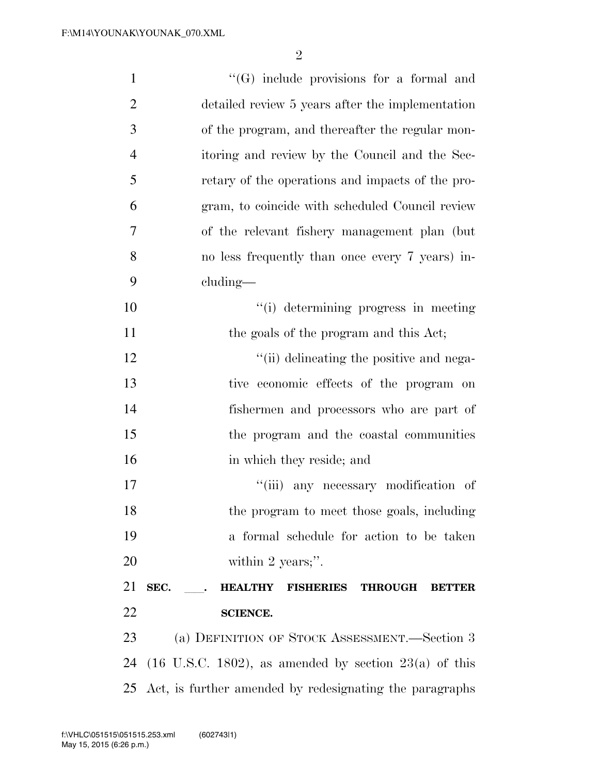| $\mathbf{1}$   | $\lq\lq(G)$ include provisions for a formal and                               |
|----------------|-------------------------------------------------------------------------------|
| $\overline{2}$ | detailed review 5 years after the implementation                              |
| 3              | of the program, and thereafter the regular mon-                               |
| $\overline{4}$ | itoring and review by the Council and the Sec-                                |
| 5              | retary of the operations and impacts of the pro-                              |
| 6              | gram, to coincide with scheduled Council review                               |
| 7              | of the relevant fishery management plan (but)                                 |
| 8              | no less frequently than once every 7 years) in-                               |
| 9              | $cluding$ —                                                                   |
| 10             | "(i) determining progress in meeting                                          |
| 11             | the goals of the program and this Act;                                        |
| 12             | "(ii) delineating the positive and nega-                                      |
| 13             | tive economic effects of the program on                                       |
| 14             | fishermen and processors who are part of                                      |
| 15             | the program and the coastal communities                                       |
| 16             | in which they reside; and                                                     |
| 17             | "(iii) any necessary modification of                                          |
| 18             | the program to meet those goals, including                                    |
| 19             | a formal schedule for action to be taken                                      |
| 20             | within 2 years;".                                                             |
| 21             | SEC.<br><b>HEALTHY</b><br><b>FISHERIES</b><br><b>THROUGH</b><br><b>BETTER</b> |
| 22             | <b>SCIENCE.</b>                                                               |
| 23             | (a) DEFINITION OF STOCK ASSESSMENT.—Section 3                                 |
| 24             | $(16 \text{ U.S.C. } 1802)$ , as amended by section $23(a)$ of this           |
| 25             | Act, is further amended by redesignating the paragraphs                       |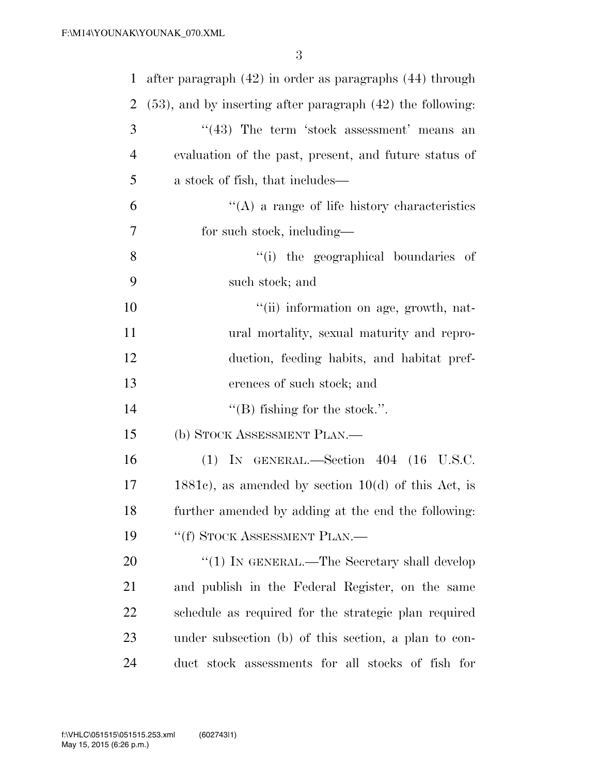| $\mathbf{1}$   | after paragraph $(42)$ in order as paragraphs $(44)$ through    |
|----------------|-----------------------------------------------------------------|
| $\overline{2}$ | $(53)$ , and by inserting after paragraph $(42)$ the following: |
| 3              | $\cdot\cdot(43)$ The term 'stock assessment' means an           |
| $\overline{4}$ | evaluation of the past, present, and future status of           |
| 5              | a stock of fish, that includes—                                 |
| 6              | $\lq\lq$ a range of life history characteristics                |
| 7              | for such stock, including—                                      |
| 8              | "(i) the geographical boundaries of                             |
| 9              | such stock; and                                                 |
| 10             | "(ii) information on age, growth, nat-                          |
| 11             | ural mortality, sexual maturity and repro-                      |
| 12             | duction, feeding habits, and habitat pref-                      |
| 13             | erences of such stock; and                                      |
| 14             | $\lq\lq$ fishing for the stock.".                               |
| 15             | (b) STOCK ASSESSMENT PLAN.—                                     |
| 16             | $(1)$ IN GENERAL.—Section 404 $(16$ U.S.C.                      |
| 17             | $1881c$ , as amended by section $10(d)$ of this Act, is         |
| 18             | further amended by adding at the end the following:             |
| 19             | "(f) STOCK ASSESSMENT PLAN.—                                    |
| 20             | " $(1)$ IN GENERAL.—The Secretary shall develop                 |
| 21             | and publish in the Federal Register, on the same                |
| 22             | schedule as required for the strategic plan required            |
| 23             | under subsection (b) of this section, a plan to con-            |
| 24             | duct stock assessments for all stocks of fish for               |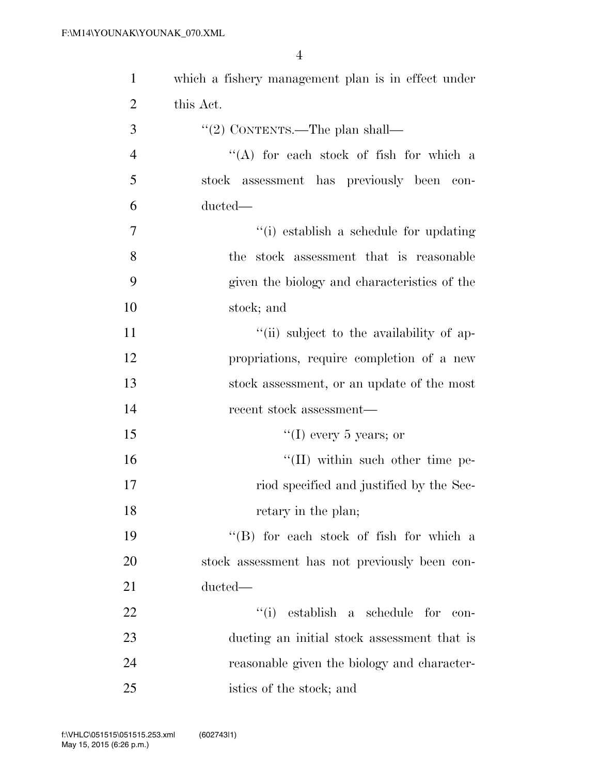| $\mathbf{1}$   | which a fishery management plan is in effect under |
|----------------|----------------------------------------------------|
| $\overline{2}$ | this Act.                                          |
| 3              | "(2) CONTENTS.—The plan shall—                     |
| $\overline{4}$ | "(A) for each stock of fish for which a            |
| 5              | stock assessment has previously been con-          |
| 6              | ducted—                                            |
| 7              | "(i) establish a schedule for updating             |
| 8              | the stock assessment that is reasonable            |
| 9              | given the biology and characteristics of the       |
| 10             | stock; and                                         |
| 11             | "(ii) subject to the availability of ap-           |
| 12             | propriations, require completion of a new          |
| 13             | stock assessment, or an update of the most         |
| 14             | recent stock assessment—                           |
| 15             | "(I) every 5 years; or                             |
| 16             | "(II) within such other time pe-                   |
| 17             | riod specified and justified by the Sec-           |
| 18             | retary in the plan;                                |
| 19             | "(B) for each stock of fish for which a            |
| 20             | stock assessment has not previously been con-      |
| 21             | ducted-                                            |
| 22             | $``(i)$ establish a schedule for<br>con-           |
| 23             | ducting an initial stock assessment that is        |
| 24             | reasonable given the biology and character-        |
| 25             | istics of the stock; and                           |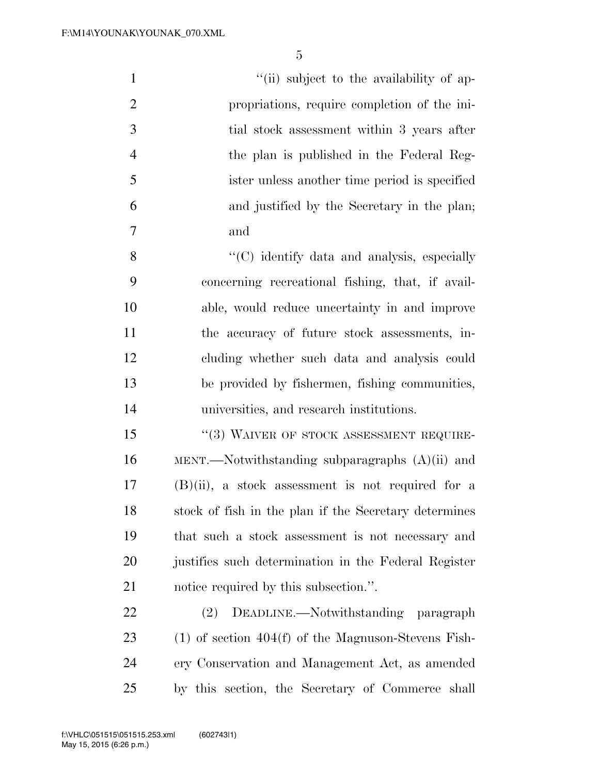| $\mathbf{1}$   | "(ii) subject to the availability of ap-                |
|----------------|---------------------------------------------------------|
| $\overline{2}$ | propriations, require completion of the ini-            |
| 3              | tial stock assessment within 3 years after              |
| $\overline{4}$ | the plan is published in the Federal Reg-               |
| 5              | ister unless another time period is specified           |
| 6              | and justified by the Secretary in the plan;             |
| 7              | and                                                     |
| 8              | "(C) identify data and analysis, especially             |
| 9              | concerning recreational fishing, that, if avail-        |
| 10             | able, would reduce uncertainty in and improve           |
| 11             | the accuracy of future stock assessments, in-           |
| 12             | cluding whether such data and analysis could            |
| 13             | be provided by fishermen, fishing communities,          |
| 14             | universities, and research institutions.                |
| 15             | "(3) WAIVER OF STOCK ASSESSMENT REQUIRE-                |
| 16             | $MENT.$ Notwithstanding subparagraphs $(A)(ii)$ and     |
| 17             | $(B)(ii)$ , a stock assessment is not required for a    |
| 18             | stock of fish in the plan if the Secretary determines   |
| 19             | that such a stock assessment is not necessary and       |
| 20             | justifies such determination in the Federal Register    |
| 21             | notice required by this subsection.".                   |
| 22             | DEADLINE.—Notwithstanding paragraph<br>(2)              |
| 23             | $(1)$ of section $404(f)$ of the Magnuson-Stevens Fish- |

 ery Conservation and Management Act, as amended by this section, the Secretary of Commerce shall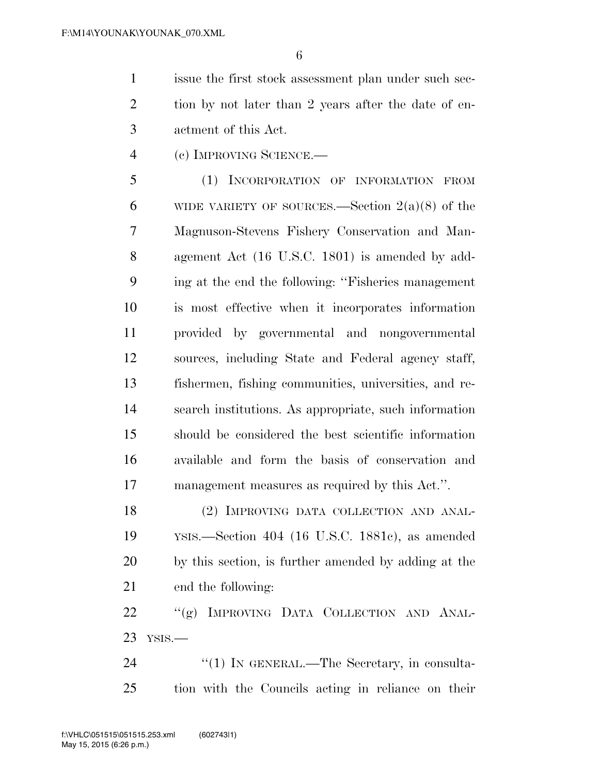issue the first stock assessment plan under such sec-2 tion by not later than 2 years after the date of en-actment of this Act.

(c) IMPROVING SCIENCE.—

 (1) INCORPORATION OF INFORMATION FROM 6 WIDE VARIETY OF SOURCES.—Section  $2(a)(8)$  of the Magnuson-Stevens Fishery Conservation and Man- agement Act (16 U.S.C. 1801) is amended by add- ing at the end the following: ''Fisheries management is most effective when it incorporates information provided by governmental and nongovernmental sources, including State and Federal agency staff, fishermen, fishing communities, universities, and re- search institutions. As appropriate, such information should be considered the best scientific information available and form the basis of conservation and management measures as required by this Act.''.

18 (2) IMPROVING DATA COLLECTION AND ANAL- YSIS.—Section 404 (16 U.S.C. 1881c), as amended by this section, is further amended by adding at the end the following:

22 "(g) IMPROVING DATA COLLECTION AND ANAL-YSIS.—

24 "(1) IN GENERAL.—The Secretary, in consulta-tion with the Councils acting in reliance on their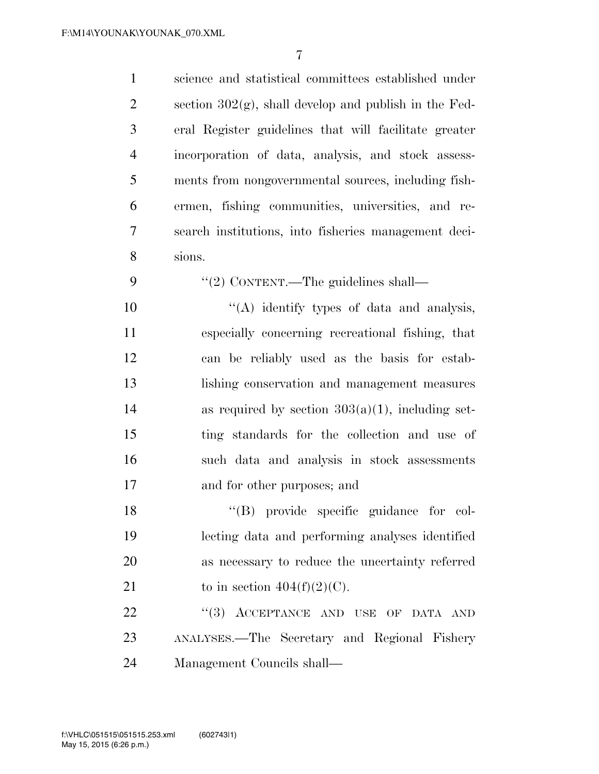| $\mathbf{1}$   | science and statistical committees established under     |
|----------------|----------------------------------------------------------|
| $\overline{2}$ | section $302(g)$ , shall develop and publish in the Fed- |
| 3              | eral Register guidelines that will facilitate greater    |
| $\overline{4}$ | incorporation of data, analysis, and stock assess-       |
| 5              | ments from nongovernmental sources, including fish-      |
| 6              | ermen, fishing communities, universities, and re-        |
| 7              | search institutions, into fisheries management deci-     |
| 8              | sions.                                                   |
| 9              | "(2) CONTENT.—The guidelines shall—                      |
| 10             | "(A) identify types of data and analysis,                |
| 11             | especially concerning recreational fishing, that         |
| 12             | can be reliably used as the basis for estab-             |
| 13             | lishing conservation and management measures             |
| 14             | as required by section $303(a)(1)$ , including set-      |
| 15             | ting standards for the collection and use of             |
| 16             | such data and analysis in stock assessments              |
| 17             | and for other purposes; and                              |
| 18             | "(B) provide specific guidance for col-                  |
| 19             | lecting data and performing analyses identified          |
| 20             | as necessary to reduce the uncertainty referred          |
| 21             | to in section $404(f)(2)(C)$ .                           |
| 22             | "(3) ACCEPTANCE AND USE OF DATA AND                      |
| 23             | ANALYSES.—The Secretary and Regional Fishery             |
| 24             | Management Councils shall—                               |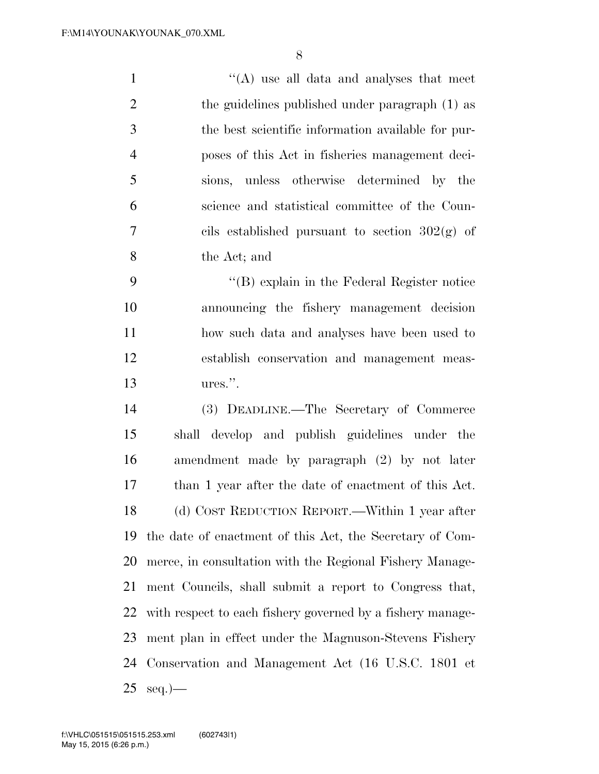1 ''(A) use all data and analyses that meet 2 the guidelines published under paragraph (1) as the best scientific information available for pur- poses of this Act in fisheries management deci- sions, unless otherwise determined by the science and statistical committee of the Coun-7 cils established pursuant to section  $302(\text{g})$  of the Act; and

 ''(B) explain in the Federal Register notice announcing the fishery management decision how such data and analyses have been used to establish conservation and management meas-ures.''.

 (3) DEADLINE.—The Secretary of Commerce shall develop and publish guidelines under the amendment made by paragraph (2) by not later than 1 year after the date of enactment of this Act. (d) COST REDUCTION REPORT.—Within 1 year after the date of enactment of this Act, the Secretary of Com- merce, in consultation with the Regional Fishery Manage- ment Councils, shall submit a report to Congress that, with respect to each fishery governed by a fishery manage- ment plan in effect under the Magnuson-Stevens Fishery Conservation and Management Act (16 U.S.C. 1801 et  $25 \text{ seq.}$ )—